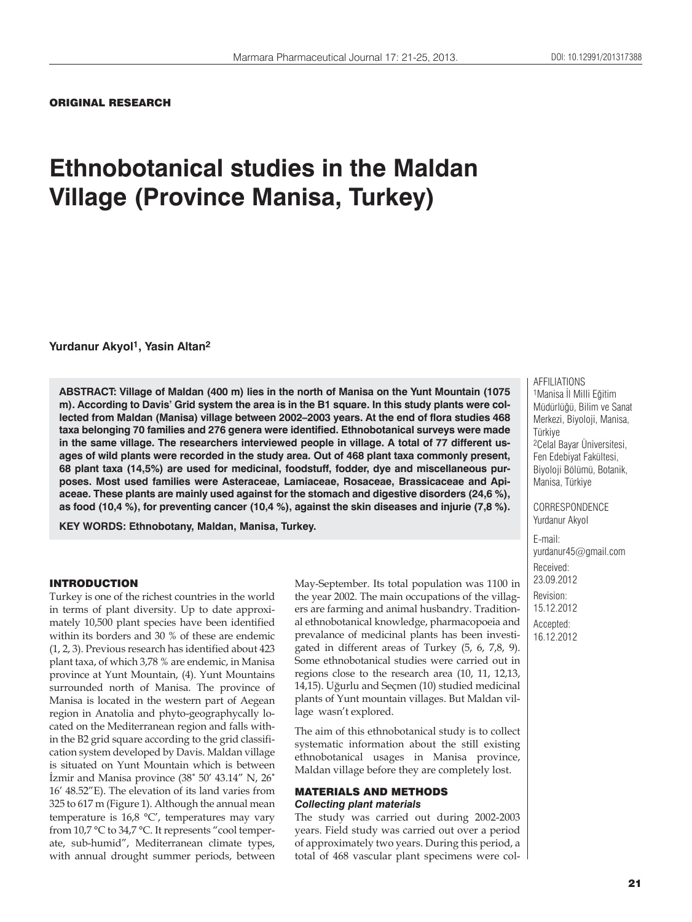ORIGINAL RESEARCH

# **Ethnobotanical studies in the Maldan Village (Province Manisa, Turkey)**

**Yurdanur Akyol1, Yasin Altan2**

**ABSTRACT: Village of Maldan (400 m) lies in the north of Manisa on the Yunt Mountain (1075 m). According to Davis' Grid system the area is in the B1 square. In this study plants were collected from Maldan (Manisa) village between 2002–2003 years. At the end of flora studies 468 taxa belonging 70 families and 276 genera were identified. Ethnobotanical surveys were made in the same village. The researchers interviewed people in village. A total of 77 different usages of wild plants were recorded in the study area. Out of 468 plant taxa commonly present, 68 plant taxa (14,5%) are used for medicinal, foodstuff, fodder, dye and miscellaneous purposes. Most used families were Asteraceae, Lamiaceae, Rosaceae, Brassicaceae and Apiaceae. These plants are mainly used against for the stomach and digestive disorders (24,6 %), as food (10,4 %), for preventing cancer (10,4 %), against the skin diseases and injurie (7,8 %).**

**KEY WORDS: Ethnobotany, Maldan, Manisa, Turkey.**

#### INTRODUCTION

Turkey is one of the richest countries in the world in terms of plant diversity. Up to date approximately 10,500 plant species have been identified within its borders and 30 % of these are endemic (1, 2, 3). Previous research has identified about 423 plant taxa, of which 3,78 % are endemic, in Manisa province at Yunt Mountain, (4). Yunt Mountains surrounded north of Manisa. The province of Manisa is located in the western part of Aegean region in Anatolia and phyto-geographycally located on the Mediterranean region and falls within the B2 grid square according to the grid classification system developed by Davis. Maldan village is situated on Yunt Mountain which is between İzmir and Manisa province (38˚ 50' 43.14" N, 26˚ 16' 48.52"E). The elevation of its land varies from 325 to 617 m (Figure 1). Although the annual mean temperature is 16,8 **°**C', temperatures may vary from 10,7 **°**C to 34,7 **°**C. It represents "cool temperate, sub-humid", Mediterranean climate types, with annual drought summer periods, between

May-September. Its total population was 1100 in the year 2002. The main occupations of the villagers are farming and animal husbandry. Traditional ethnobotanical knowledge, pharmacopoeia and prevalance of medicinal plants has been investigated in different areas of Turkey (5, 6, 7,8, 9). Some ethnobotanical studies were carried out in regions close to the research area (10, 11, 12,13, 14,15). Uğurlu and Seçmen (10) studied medicinal plants of Yunt mountain villages. But Maldan village wasn't explored.

The aim of this ethnobotanical study is to collect systematic information about the still existing ethnobotanical usages in Manisa province, Maldan village before they are completely lost.

## MATERIALS AND METHODS *Collecting plant materials*

The study was carried out during 2002-2003 years. Field study was carried out over a period of approximately two years. During this period, a total of 468 vascular plant specimens were col-

AFFILIATIONS 1Manisa İl Milli Eğitim Müdürlüğü, Bilim ve Sanat Merkezi, Biyoloji, Manisa, Türkiye 2Celal Bayar Üniversitesi, Fen Edebiyat Fakültesi, Biyoloji Bölümü, Botanik, Manisa, Türkiye

CORRESPONDENCE Yurdanur Akyol

E-mail: yurdanur45@gmail.com Received: 23.09.2012 Revision: 15.12.2012 Accepted: 16.12.2012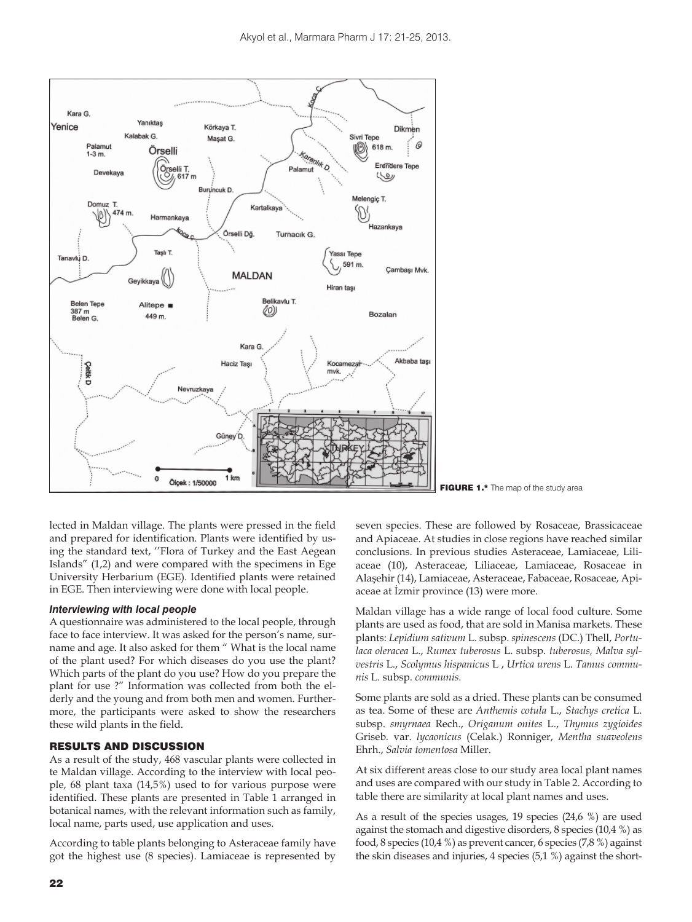

FIGURE 1.\* The map of the study area

lected in Maldan village. The plants were pressed in the field and prepared for identification. Plants were identified by using the standard text, ''Flora of Turkey and the East Aegean Islands" (1,2) and were compared with the specimens in Ege University Herbarium (EGE). Identified plants were retained in EGE. Then interviewing were done with local people.

### *Interviewing with local people*

A questionnaire was administered to the local people, through face to face interview. It was asked for the person's name, surname and age. It also asked for them " What is the local name of the plant used? For which diseases do you use the plant? Which parts of the plant do you use? How do you prepare the plant for use ?" Information was collected from both the elderly and the young and from both men and women. Furthermore, the participants were asked to show the researchers these wild plants in the field.

#### RESULTS AND DISCUSSION

As a result of the study, 468 vascular plants were collected in te Maldan village. According to the interview with local people, 68 plant taxa (14,5%) used to for various purpose were identified. These plants are presented in Table 1 arranged in botanical names, with the relevant information such as family, local name, parts used, use application and uses.

According to table plants belonging to Asteraceae family have got the highest use (8 species). Lamiaceae is represented by seven species. These are followed by Rosaceae, Brassicaceae and Apiaceae. At studies in close regions have reached similar conclusions. In previous studies Asteraceae, Lamiaceae, Liliaceae (10), Asteraceae, Liliaceae, Lamiaceae, Rosaceae in Alaşehir (14), Lamiaceae, Asteraceae, Fabaceae, Rosaceae, Apiaceae at İzmir province (13) were more.

Maldan village has a wide range of local food culture. Some plants are used as food, that are sold in Manisa markets. These plants: *Lepidium sativum* L. subsp. *spinescens* (DC.) Thell, *Portulaca oleracea* L., *Rumex tuberosus* L. subsp. *tuberosus, Malva sylvestris* L., *Scolymus hispanicus* L , *Urtica urens* L. *Tamus communis* L. subsp. *communis.*

Some plants are sold as a dried. These plants can be consumed as tea. Some of these are *Anthemis cotula* L., *Stachys cretica* L. subsp. *smyrnaea* Rech., *Origanum onites* L., *Thymus zygioides* Griseb. var. *lycaonicus* (Celak.) Ronniger, *Mentha suaveolens* Ehrh., *Salvia tomentosa* Miller.

At six different areas close to our study area local plant names and uses are compared with our study in Table 2. According to table there are similarity at local plant names and uses.

As a result of the species usages, 19 species (24,6 %) are used against the stomach and digestive disorders, 8 species (10,4 %) as food, 8 species (10,4 %) as prevent cancer, 6 species (7,8 %) against the skin diseases and injuries, 4 species (5,1 %) against the short-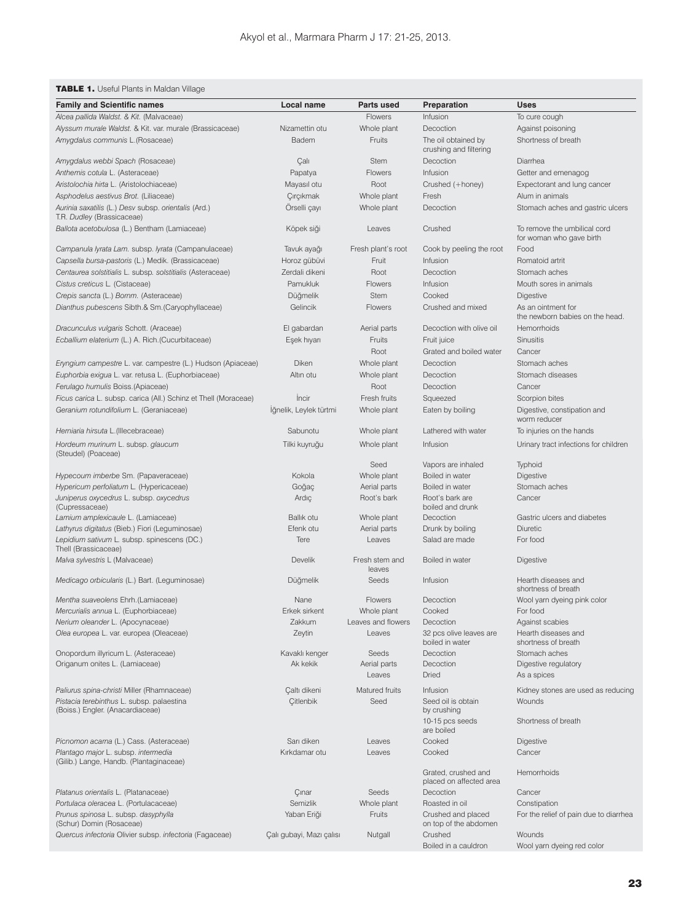# **TABLE 1.** Useful Plants in Maldan Village

| <b>Family and Scientific names</b>                                                 | Local name               | Parts used               | Preparation                                   | Uses                                                     |
|------------------------------------------------------------------------------------|--------------------------|--------------------------|-----------------------------------------------|----------------------------------------------------------|
| Alcea pallida Waldst. & Kit. (Malvaceae)                                           |                          | Flowers                  | Infusion                                      | To cure cough                                            |
| Alyssum murale Waldst. & Kit. var. murale (Brassicaceae)                           | Nizamettin otu           | Whole plant              | Decoction                                     | Against poisoning                                        |
| Amygdalus communis L. (Rosaceae)                                                   | Badem                    | Fruits                   | The oil obtained by<br>crushing and filtering | Shortness of breath                                      |
| Amygdalus webbi Spach (Rosaceae)                                                   | Çalı                     | <b>Stem</b>              | Decoction                                     | Diarrhea                                                 |
| Anthemis cotula L. (Asteraceae)                                                    | Papatya                  | <b>Flowers</b>           | Infusion                                      | Getter and emenagog                                      |
| Aristolochia hirta L. (Aristolochiaceae)                                           | Mayasıl otu              | Root                     | Crushed (+honey)                              | Expectorant and lung cancer                              |
| Asphodelus aestivus Brot. (Liliaceae)                                              | Çırçıkmak                | Whole plant              | Fresh                                         | Alum in animals                                          |
| Aurinia saxatilis (L.) Desv subsp. orientalis (Ard.)<br>T.R. Dudley (Brassicaceae) | Orselli çayı             | Whole plant              | Decoction                                     | Stomach aches and gastric ulcers                         |
| Ballota acetobulosa (L.) Bentham (Lamiaceae)                                       | Köpek siği               | Leaves                   | Crushed                                       | To remove the umbilical cord<br>for woman who gave birth |
| Campanula lyrata Lam. subsp. lyrata (Campanulaceae)                                | Tavuk ayağı              | Fresh plant's root       | Cook by peeling the root                      | Food                                                     |
| Capsella bursa-pastoris (L.) Medik. (Brassicaceae)                                 | Horoz gübüvi             | Fruit                    | Infusion                                      | Romatoid artrit                                          |
| Centaurea solstitialis L. subsp. solstitialis (Asteraceae)                         | Zerdali dikeni           | Root                     | Decoction                                     | Stomach aches                                            |
| Cistus creticus L. (Cistaceae)                                                     | Pamukluk                 | Flowers                  | Infusion                                      | Mouth sores in animals                                   |
| Crepis sancta (L.) Bornm. (Asteraceae)                                             | Düğmelik                 | <b>Stem</b>              | Cooked                                        | <b>Digestive</b>                                         |
| Dianthus pubescens Sibth.& Sm. (Caryophyllaceae)                                   | Gelincik                 | Flowers                  | Crushed and mixed                             | As an ointment for                                       |
|                                                                                    | El gabardan              | Aerial parts             | Decoction with olive oil                      | the newborn babies on the head.<br>Hemorrhoids           |
| Dracunculus vulgaris Schott. (Araceae)                                             |                          |                          |                                               |                                                          |
| Ecballium elaterium (L.) A. Rich. (Cucurbitaceae)                                  | Eşek hıyarı              | Fruits                   | Fruit juice                                   | Sinusitis                                                |
|                                                                                    |                          | Root                     | Grated and boiled water                       | Cancer                                                   |
| Eryngium campestre L. var. campestre (L.) Hudson (Apiaceae)                        | Diken                    | Whole plant              | Decoction                                     | Stomach aches                                            |
| Euphorbia exigua L. var. retusa L. (Euphorbiaceae)                                 | Altın otu                | Whole plant              | Decoction                                     | Stomach diseases                                         |
| Ferulago humulis Boiss. (Apiaceae)                                                 |                          | Root                     | Decoction                                     | Cancer                                                   |
| Ficus carica L. subsp. carica (All.) Schinz et Thell (Moraceae)                    | Incir                    | Fresh fruits             | Squeezed                                      | Scorpion bites                                           |
| Geranium rotundifolium L. (Geraniaceae)                                            | Iğnelik, Leylek türtmi   | Whole plant              | Eaten by boiling                              | Digestive, constipation and<br>worm reducer              |
| Herniaria hirsuta L. (Illecebraceae)                                               | Sabunotu                 | Whole plant              | Lathered with water                           | To injuries on the hands                                 |
| Hordeum murinum L. subsp. glaucum<br>(Steudel) (Poaceae)                           | Tilki kuyruğu            | Whole plant              | Infusion                                      | Urinary tract infections for children                    |
|                                                                                    |                          | Seed                     | Vapors are inhaled                            | Typhoid                                                  |
| Hypecoum imberbe Sm. (Papaveraceae)                                                | Kokola                   | Whole plant              | Boiled in water                               | <b>Digestive</b>                                         |
| Hypericum perfoliatum L. (Hypericaceae)                                            | Goğaç                    | Aerial parts             | Boiled in water                               | Stomach aches                                            |
| Juniperus oxycedrus L. subsp. oxycedrus<br>(Cupressaceae)                          | Ardıç                    | Root's bark              | Root's bark are<br>boiled and drunk           | Cancer                                                   |
| Lamium amplexicaule L. (Lamiaceae)                                                 | Ballik otu               | Whole plant              | Decoction                                     | Gastric ulcers and diabetes                              |
| Lathyrus digitatus (Bieb.) Fiori (Leguminosae)                                     | Efenk otu                | Aerial parts             | Drunk by boiling                              | Diuretic                                                 |
| Lepidium sativum L. subsp. spinescens (DC.)<br>Thell (Brassicaceae)                | Tere                     | Leaves                   | Salad are made                                | For food                                                 |
| Malva sylvestris L (Malvaceae)                                                     | <b>Develik</b>           | Fresh stem and<br>leaves | Boiled in water                               | <b>Digestive</b>                                         |
| Medicago orbicularis (L.) Bart. (Leguminosae)                                      | Düğmelik                 | Seeds                    | Infusion                                      | Hearth diseases and<br>shortness of breath               |
| Mentha suaveolens Ehrh.(Lamiaceae)                                                 | Nane                     | <b>Flowers</b>           | Decoction                                     | Wool yarn dyeing pink color                              |
| Mercurialis annua L. (Euphorbiaceae)                                               | Erkek sirkent            | Whole plant              | Cooked                                        | For food                                                 |
| Nerium oleander L. (Apocynaceae)                                                   | Zakkum                   | Leaves and flowers       | Decoction                                     | Against scabies                                          |
| Olea europea L. var. europea (Oleaceae)                                            | Zeytin                   | Leaves                   | 32 pcs olive leaves are<br>boiled in water    | Hearth diseases and<br>shortness of breath               |
| Onopordum illyricum L. (Asteraceae)                                                | Kavaklı kenger           | Seeds                    | Decoction                                     | Stomach aches                                            |
| Origanum onites L. (Lamiaceae)                                                     | Ak kekik                 | Aerial parts<br>Leaves   | Decoction<br><b>Dried</b>                     | Digestive regulatory<br>As a spices                      |
| Paliurus spina-christi Miller (Rhamnaceae)                                         | Çaltı dikeni             | Matured fruits           | Infusion                                      | Kidney stones are used as reducing                       |
| Pistacia terebinthus L. subsp. palaestina                                          | <b>Çitlenbik</b>         | Seed                     | Seed oil is obtain                            | Wounds                                                   |
| (Boiss.) Engler. (Anacardiaceae)                                                   |                          |                          | by crushing<br>10-15 pcs seeds                | Shortness of breath                                      |
|                                                                                    |                          |                          | are boiled                                    |                                                          |
| Picnomon acarna (L.) Cass. (Asteraceae)                                            | Sarı diken               | Leaves                   | Cooked                                        | <b>Digestive</b>                                         |
| Plantago major L. subsp. intermedia                                                | Kırkdamar otu            | Leaves                   | Cooked                                        | Cancer                                                   |
| (Gilib.) Lange, Handb. (Plantaginaceae)                                            |                          |                          | Grated, crushed and                           | Hemorrhoids                                              |
|                                                                                    |                          |                          | placed on affected area                       |                                                          |
| Platanus orientalis L. (Platanaceae)                                               | Çınar                    | Seeds                    | Decoction                                     | Cancer                                                   |
| Portulaca oleracea L. (Portulacaceae)                                              | Semizlik                 | Whole plant              | Roasted in oil                                | Constipation                                             |
| Prunus spinosa L. subsp. dasyphylla<br>(Schur) Domin (Rosaceae)                    | Yaban Eriği              | Fruits                   | Crushed and placed<br>on top of the abdomen   | For the relief of pain due to diarrhea                   |
| Quercus infectoria Olivier subsp. infectoria (Fagaceae)                            | Çalı gubayi, Mazı çalısı | Nutgall                  | Crushed                                       | Wounds                                                   |
|                                                                                    |                          |                          | Boiled in a cauldron                          | Wool yarn dyeing red color                               |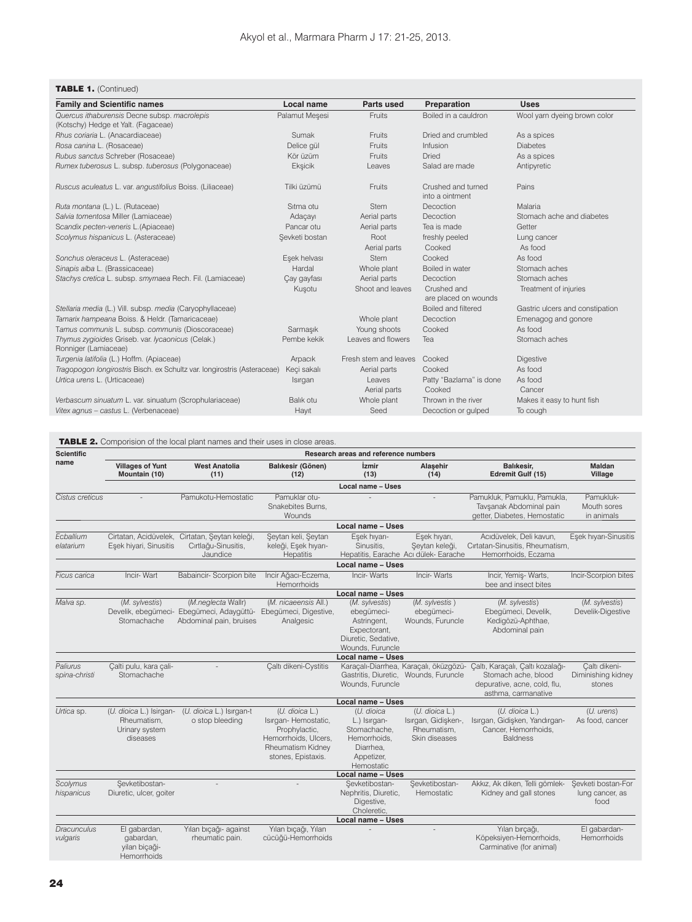## TABLE 1. (Continued)

| <b>Family and Scientific names</b>                                        | <b>Local name</b> | <b>Parts used</b>     | Preparation                           | <b>Uses</b>                     |
|---------------------------------------------------------------------------|-------------------|-----------------------|---------------------------------------|---------------------------------|
| Quercus ithaburensis Decne subsp. macrolepis                              | Palamut Mesesi    | Fruits                | Boiled in a cauldron                  | Wool yarn dyeing brown color    |
| (Kotschy) Hedge et Yalt. (Fagaceae)                                       |                   |                       |                                       |                                 |
| Rhus coriaria L. (Anacardiaceae)                                          | Sumak             | Fruits                | Dried and crumbled                    | As a spices                     |
| Rosa canina L. (Rosaceae)                                                 | Delice gül        | Fruits                | Infusion                              | <b>Diabetes</b>                 |
| Rubus sanctus Schreber (Rosaceae)                                         | Kör üzüm          | Fruits                | <b>Dried</b>                          | As a spices                     |
| Rumex tuberosus L. subsp. tuberosus (Polygonaceae)                        | Eksicik           | Leaves                | Salad are made                        | Antipyretic                     |
| Ruscus aculeatus L. var. angustifolius Boiss. (Liliaceae)                 | Tilki üzümü       | Fruits                | Crushed and turned<br>into a ointment | Pains                           |
| Ruta montana (L.) L. (Rutaceae)                                           | Sitma otu         | <b>Stem</b>           | Decoction                             | Malaria                         |
| Salvia tomentosa Miller (Lamiaceae)                                       | Adaçayı           | Aerial parts          | Decoction                             | Stomach ache and diabetes       |
| Scandix pecten-veneris L. (Apiaceae)                                      | Pancar otu        | Aerial parts          | Tea is made                           | Getter                          |
| Scolymus hispanicus L. (Asteraceae)                                       | Sevketi bostan    | Root                  | freshly peeled                        | Lung cancer                     |
|                                                                           |                   | Aerial parts          | Cooked                                | As food                         |
| Sonchus oleraceus L. (Asteraceae)                                         | Esek helvası      | <b>Stem</b>           | Cooked                                | As food                         |
| Sinapis alba L. (Brassicaceae)                                            | Hardal            | Whole plant           | Boiled in water                       | Stomach aches                   |
| Stachys cretica L. subsp. smyrnaea Rech. Fil. (Lamiaceae)                 | Çay gayfası       | Aerial parts          | Decoction                             | Stomach aches                   |
|                                                                           | Kusotu            | Shoot and leaves      | Crushed and<br>are placed on wounds   | Treatment of injuries           |
| Stellaria media (L.) Vill. subsp. media (Caryophyllaceae)                 |                   |                       | Boiled and filtered                   | Gastric ulcers and constipation |
| Tamarix hampeana Boiss. & Heldr. (Tamaricaceae)                           |                   | Whole plant           | Decoction                             | Emenagog and gonore             |
| Tamus communis L. subsp. communis (Dioscoraceae)                          | Sarmasık          | Young shoots          | Cooked                                | As food                         |
| Thymus zygioides Griseb. var. lycaonicus (Celak.)<br>Ronniger (Lamiaceae) | Pembe kekik       | Leaves and flowers    | Tea                                   | Stomach aches                   |
| Turgenia latifolia (L.) Hoffm. (Apiaceae)                                 | Arpacık           | Fresh stem and leaves | Cooked                                | <b>Digestive</b>                |
| Tragopogon longirostris Bisch. ex Schultz var. longirostris (Asteraceae)  | Keci sakalı       | Aerial parts          | Cooked                                | As food                         |
| Urtica urens L. (Urticaceae)                                              | Isırgan           | Leaves                | Patty "Bazlama" is done               | As food                         |
|                                                                           |                   | Aerial parts          | Cooked                                | Cancer                          |
| Verbascum sinuatum L. var. sinuatum (Scrophulariaceae)                    | Balık otu         | Whole plant           | Thrown in the river                   | Makes it easy to hunt fish      |
| Vitex agnus - castus L. (Verbenaceae)                                     | Hayıt             | Seed                  | Decoction or gulped                   | To cough                        |

| <b>Scientific</b><br>name | Research areas and reference numbers                                 |                                                                                                                  |                                                                                                                                   |                                                                                                        |                                                                                 |                                                                                                                |                                               |  |  |
|---------------------------|----------------------------------------------------------------------|------------------------------------------------------------------------------------------------------------------|-----------------------------------------------------------------------------------------------------------------------------------|--------------------------------------------------------------------------------------------------------|---------------------------------------------------------------------------------|----------------------------------------------------------------------------------------------------------------|-----------------------------------------------|--|--|
|                           | <b>Villages of Yunt</b><br>Mountain (10)                             | <b>West Anatolia</b><br>(11)                                                                                     | Balıkesir (Gönen)<br>(12)                                                                                                         | <i><u><b>izmir</b></u></i><br>(13)                                                                     | Alasehir<br>(14)                                                                | Balıkesir.<br>Edremit Gulf (15)                                                                                | <b>Maldan</b><br>Village                      |  |  |
|                           |                                                                      |                                                                                                                  |                                                                                                                                   | Local name - Uses                                                                                      |                                                                                 |                                                                                                                |                                               |  |  |
| Cistus creticus           |                                                                      | Pamukotu-Hemostatic                                                                                              | Pamuklar otu-<br>Snakebites Burns.<br>Wounds                                                                                      |                                                                                                        |                                                                                 | Pamukluk, Pamuklu, Pamukla,<br>Tavsanak Abdominal pain<br>getter, Diabetes, Hemostatic                         | Pamukluk-<br>Mouth sores<br>in animals        |  |  |
|                           |                                                                      |                                                                                                                  |                                                                                                                                   | <b>Local name - Uses</b>                                                                               |                                                                                 |                                                                                                                |                                               |  |  |
| Ecballium<br>elatarium    | Eşek hiyari, Sinusitis                                               | Cirtatan, Acidüvelek, Cirtatan, Şeytan keleği,<br>Cırtlağu-Sinusitis,<br>Jaundice                                | Şeytan keli, Şeytan<br>keleği, Eşek hıyarı-<br>Hepatitis                                                                          | Eşek hıyarı-<br>Sinusitis.                                                                             | Eşek hıyarı,<br>Şeytan keleği,<br>Hepatitis, Earache Acı dülek- Earache         | Acıdüvelek, Deli kavun,<br>Cırtatan-Sinusitis, Rheumatism,<br>Hemorrhoids, Eczama                              | Eşek hıyarı-Sinusitis                         |  |  |
|                           |                                                                      |                                                                                                                  |                                                                                                                                   | <b>Local name - Uses</b>                                                                               |                                                                                 |                                                                                                                |                                               |  |  |
| Ficus carica              | Incir-Wart                                                           | Babaincir- Scorpion bite                                                                                         | İncir Ağacı-Eczema,<br>Hemorrhoids                                                                                                | Incir-Warts                                                                                            | Incir-Warts                                                                     | İncir, Yemiş- Warts,<br>bee and insect bites                                                                   | Incir-Scorpion bites                          |  |  |
|                           |                                                                      |                                                                                                                  |                                                                                                                                   | Local name - Uses                                                                                      |                                                                                 |                                                                                                                |                                               |  |  |
| Malva sp.                 | (M. sylvestis)<br>Stomachache                                        | (M.neglecta Wallr)<br>Develik, ebegümeci- Ebegümeci, Adaygüttü- Ebegümeci, Digestive,<br>Abdominal pain, bruises | (M. nicaeensis All.)<br>Analgesic                                                                                                 | (M. sylvestis)<br>ebegümeci-<br>Astringent,<br>Expectorant,<br>Diuretic, Sedative,<br>Wounds, Furuncle | (M. sylvestis)<br>ebegümeci-<br>Wounds, Furuncle                                | (M. sylvestis)<br>Ebegümeci, Develik,<br>Kedigözü-Aphthae,<br>Abdominal pain                                   | (M. sylvestis)<br>Develik-Digestive           |  |  |
|                           |                                                                      |                                                                                                                  |                                                                                                                                   | Local name - Uses                                                                                      |                                                                                 |                                                                                                                |                                               |  |  |
| Paliurus<br>spina-christi | Çalti pulu, kara çali-<br>Stomachache                                |                                                                                                                  | Caltı dikeni-Cystitis                                                                                                             | Wounds, Furuncle                                                                                       | Karaçalı-Diarrhea, Karaçalı, öküzgözü-<br>Gastritis, Diuretic, Wounds, Furuncle | Çaltı, Karaçalı, Çaltı kozalağı-<br>Stomach ache, blood<br>depurative, acne, cold, flu,<br>asthma, carmanative | Caltı dikeni-<br>Diminishing kidney<br>stones |  |  |
|                           |                                                                      |                                                                                                                  |                                                                                                                                   | <b>Local name - Uses</b>                                                                               |                                                                                 |                                                                                                                |                                               |  |  |
| Urtica sp.                | (U. dioica L.) Isirgan-<br>Rheumatism.<br>Urinary system<br>diseases | (U. dioica L.) Isırgan-t<br>o stop bleeding                                                                      | (U. dioica L.)<br>Isırgan- Hemostatic,<br>Prophylactic,<br>Hemorrhoids, Ulcers,<br><b>Rheumatism Kidney</b><br>stones, Epistaxis. | (U. dioica<br>L.) Isırgan-<br>Stomachache,<br>Hemorrhoids,<br>Diarrhea,<br>Appetizer,<br>Hemostatic    | (U. dioica L.)<br>Isırgan, Gidişken-,<br>Rheumatism,<br>Skin diseases           | (U. dioica L.)<br>Isırgan, Gidişken, Yandırgan-<br>Cancer, Hemorrhoids,<br><b>Baldness</b>                     | $(U.$ urens)<br>As food, cancer               |  |  |
|                           |                                                                      |                                                                                                                  |                                                                                                                                   | <b>Local name - Uses</b>                                                                               |                                                                                 |                                                                                                                |                                               |  |  |
| Scolymus<br>hispanicus    | Sevketibostan-<br>Diuretic, ulcer, goiter                            |                                                                                                                  |                                                                                                                                   | Sevketibostan-<br>Nephritis, Diuretic,<br>Digestive,<br>Choleretic.                                    | Sevketibostan-<br>Hemostatic                                                    | Akkız, Ak diken, Telli gömlek-<br>Kidney and gall stones                                                       | Sevketi bostan-For<br>lung cancer, as<br>food |  |  |
|                           |                                                                      |                                                                                                                  |                                                                                                                                   | Local name - Uses                                                                                      |                                                                                 |                                                                                                                |                                               |  |  |
| Dracunculus<br>vulgaris   | El gabardan,<br>gabardan,<br>yilan biçaği-<br>Hemorrhoids            | Yılan bıçağı- against<br>rheumatic pain.                                                                         | Yılan bıcağı, Yılan<br>cücüğü-Hemorrhoids                                                                                         |                                                                                                        |                                                                                 | Yılan bırcağı,<br>Köpeksiyen-Hemorrhoids,<br>Carminative (for animal)                                          | El gabardan-<br>Hemorrhoids                   |  |  |